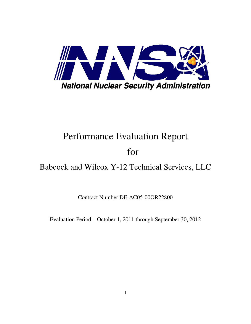

# Performance Evaluation Report

# for

## Babcock and Wilcox Y-12 Technical Services, LLC

Contract Number DE-AC05-00OR22800

Evaluation Period: October 1, 2011 through September 30, 2012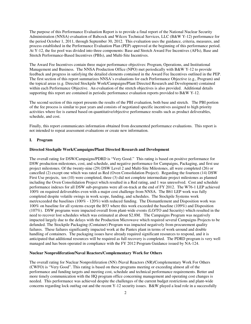The purpose of this Performance Evaluation Report is to provide a final report of the National Nuclear Security Administration (NNSA) evaluation of Babcock and Wilcox Technical Services, LLC (B&W Y-12) performance for the period October 1, 2011, through September 30, 2012. This evaluation uses the guidance, criteria, measures, and process established in the Performance Evaluation Plan (PEP) approved at the beginning of this performance period. At Y-12, the fee pool was divided into three components: Base and Stretch Award Fee Incentives (AFIs), Base and Stretch Performance-Based Incentives (PBIs), and Multi-Site Incentives.

The Award Fee Incentives contain three major performance objectives: Program, Operations, and Institutional Management and Business. The NNSA Production Office (NPO) met periodically with B&W Y-12 to provide feedback and progress in satisfying the detailed elements contained in the Award Fee Incentives outlined in the PEP. The first section of this report summarizes NNSA's evaluations for each Performance Objective (e.g., Program) and the topical areas (e.g. Directed Stockpile Work/Campaigns/Plant Directed Research and Development) contained within each Performance Objective. An evaluation of the stretch objectives is also provided. Additional details supporting this report are contained in periodic performance evaluation reports provided to  $B&W$  Y-12.

The second section of this report presents the results of the PBI evaluation, both base and stretch. The PBI portion of the fee process is similar to past years and consists of negotiated specific incentives assigned to high priority activities where fee is earned based on quantitative/objective performance results such as product deliverables, schedule, and cost.

Finally, this report communicates information obtained from documented performance evaluations. This report is not intended to repeat assessment evaluations or create new information.

#### **I. Program**

## **Directed Stockpile Work/Campaigns/Plant Directed Research and Development**

The overall rating for DSW/Campaigns/PDRD is "Very Good." This rating is based on positive performance for DSW production milestones, cost, and schedule, and negative performance for Campaigns, Packaging, and first use project milestones. Of the twenty-nine (29) DSW Level 2 and Multi-Site Milestones, all were completed (26) or cancelled (2) except one which was rated as Red (Oven Consolidation Project). Regarding the fourteen (14) DSW First Use projects, ten (10) were completed, three (3) did not complete intermediate project milestones as planned including the Oven Consolidation Project which resulted in a Red rating, and 1 was unresolved. Cost and schedule performance indexes for all DSW sub-programs were all on-track at the end of FY 2012. The W76-1 LEP achieved 100% on required deliverables even with a major cost challenge from NNSA. The B61 LEP work was fully completed despite volatile swings in work scope, funding, and schedules. The Stockpile Systems work met/exceeded the baselines (100% - 120%) with reduced funding. The Dismantlement and Disposition work was 100% on baseline for all systems except the B53 where this work exceeded the baseline (109%) and Disposition (107%). DSW programs were impacted overall from plant-wide events (LO/TO and Security) which resulted in the need to recover lost schedules which was estimated at about \$2.8M. The Campaigns Program was negatively impacted largely due to the delays with the Production Microwave which required several Campaigns Projects to be defunded. The Stockpile Packaging (Container) Program was impacted negatively from procurement quality failures. These failures significantly impacted work at the Pantex plant in terms of work-around and double handling of containers. The packaging issues have already required significant resources to respond, and it is anticipated that additional resources will be required as full recovery is completed. The PDRD program is very well managed and has been operated in compliance with the FY 2012 Program Guidance issued by NA-124.

## **Nuclear Nonproliferation/Naval Reactors/Complementary Work for Others**

The overall rating for Nuclear Nonproliferation (NN) /Naval Reactors (NR)/Complementary Work For Others (CWFO) is "Very Good". This rating is based on these programs meeting or exceeding almost all of the performance and funding targets and meeting cost, schedule and technical performance requirements. Better and more timely communication with the HQ program office concerning management and operating cost changes is needed. This performance was achieved despite the challenges of the current budget restrictions and plant-wide concerns regarding lock out/tag out and the recent Y-12 security issues. B&W played a lead role in a successfully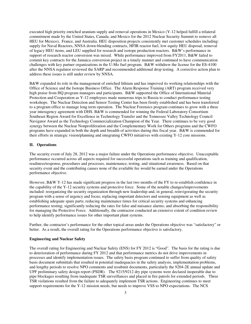executed high priority enriched uranium supply and removal operations in Mexico (Y-12 helped fulfill a trilateral commitment made by the United States, Canada, and Mexico for the 2012 Nuclear Security Summit to remove all HEU for Mexico), France, and Australia. HEU disposition projects consistently met customer schedules including: supply for Naval Reactors, NNSA down-blending contracts, HFIR reactor fuel, low equity HEU disposal, removal of legacy HEU items, and LEU supplied for research and isotope production reactors. B&W's performance in support of research reactor conversion was mixed. While performance improved from FY2011, B&W failed to commit key contracts for the Jamaica conversion project in a timely manner and continued to have communication challenges with key partner organizations in the U-Mo fuel program. B&W withdrew the license for the ES-4100 after the NNSA regulator reviewed the SARP and recommended additional drop testing. A corrective action plan to address these issues is still under review by NNSA.

B&W expanded its role in the management of enriched lithium and has improved its working relationships with the Office of Science and the Isotope Business Office. The Alarm Response Training (ART) program received very high praise from HQ program managers and participants. B&W supported the Office of International Material Protection and Cooperation as Y-12 employees made numerous trips to Russia to conduct performance testing workshops. The Nuclear Detection and Sensor Testing Center has been firmly established and has been transferred to a program office to manage long term operation. The Nuclear Forensics program continues to grow with a three year interagency agreement with DHS. B&W is commended for winning the Federal Laboratory Consortium Southeast Region Award for Excellence in Technology Transfer and the Tennessee Valley Technology Council Navigator Award as the Technology Commercialization Champion of the Year. There continues to be very good synergy between the Nuclear Nonproliferation and the Complementary Work for Others programs and the CWFO programs have expanded in both the depth and breadth of activities during this fiscal year. B&W is commended for their efforts in strategic vision/planning and integrating CWFO initiatives with existing Y-12 core missions.

#### **II. Operations**

The security event of July 28, 2012 was a major failure under the Operations performance objective. Unacceptable performance occurred across all aspects required for successful operations such as training and qualification, readiness/response, procedures and processes, maintenance, testing, and situational awareness. Based on that security event and the contributing causes none of the available fee would be earned under the Operations performance objective.

However, B&W Y-12 has made significant progress in the last two months of the FY to re-establish confidence in the capability of the Y-12 security systems and protective force. Some of the notable changes/improvements included: reorganizing the security organization through new leadership and, in general, reinvigorating the security program with a sense of urgency and focus; replacing important detectors and sensing equipment as well as establishing adequate spare parts; reducing maintenance times for critical security systems and enhancing performance testing; significantly reducing the rates for false and nuisance alarms; and absorbing the responsibility for managing the Protective Force. Additionally, the contractor conducted an extensive extent of condition review to help identify performance issues for other important plant systems.

Further, the contractor's performance for the other topical areas under the Operations objective was "satisfactory" or better. As a result, the overall rating for the Operations performance objective is satisfactory.

## **Engineering and Nuclear Safety**

The overall rating for Engineering and Nuclear Safety (ENS) for FY 2012 is "Good". The basis for the rating is due to deterioration of performance during FY 2012 and that performance metrics do not drive improvements in processes and identify implementation issues. The safety basis program continued to suffer from quality of safety basis document submittals that resulted in potential inadequacies in the safety analysis, implementation problems, and lengthy periods to resolve NPO comments and resubmit documents, particularly the 9204-2E annual update and UPF preliminary safety design report (PSDR). The 9215/9212 dry pipe systems were declared inoperable due to pipe blockages resulting from inadequate TSR surveillances and placed in fire patrols for extended periods. Three TSR violations resulted from the failure to adequately implement TSR actions. Engineering continues to meet support requirements for the Y-12 mission needs, but needs to improve VSS to NPO expectations. The NCS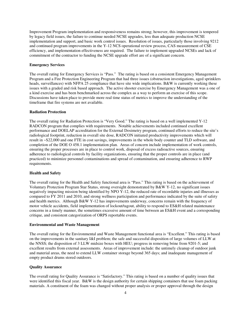Improvement Program implementation and responsiveness remains strong; however, this improvement is tempered by legacy field issues, the failure to continue needed NCSE upgrades, less than adequate production NCSE implementation and support, and basic work control issues. Resolution of issues, particularly those involving 9212 and continued program improvements in the Y-12 NCS operational review process, CAS measurement of CSE efficiency, and implementation effectiveness are required. The failure to implement upgraded NCSEs and lack of commitment of the contractor to funding the NCSE upgrade effort are of a significant concern.

## **Emergency Services**

The overall rating for Emergency Services is "Pass." The rating is based on a consistent Emergency Management Program and a Fire Protection Engineering Program that had three issues (obstruction investigations, aged sprinklers heads, surveillances) with NFPA 25 compliance that have site wide implications. B&W is currently working these issues with a graded and risk based approach. The active shooter exercise by Emergency Management was a one of a kind exercise and has been benchmarked across the complex as a way to perform an exercise of this scope. Discussions have taken place to provide more real time status of metrics to improve the understanding of the timeframe that fire systems are not available.

#### **Radiation Protection**

The overall rating for Radiation Protection is "Very Good." The rating is based on a well implemented Y-12 RADCON program that complies with requirements. Notable achievements included continued excellent performance and DOELAP accreditation for the External Dosimetry program, continued efforts to reduce the site's radiological footprint, reduction in overall site dose, RADCON initiated productivity improvements which will result in ~\$22,000 and one FTE in cost savings, improvements in the whole body counter and TLD software, and completion of the DOE O 458.1 implementation plan. Areas of concern include implementation of work controls, ensuring the proper processes are in place to control work, disposal of excess radioactive sources, ensuring adherence to radiological controls by facility organizations, ensuring that the proper controls are in place (and practiced) to minimize personnel contaminations and spread of contamination, and ensuring adherence to RWP requirements.

## **Health and Safety**

The overall rating for the Health and Safety functional area is "Pass." This rating is based on the achievement of Voluntary Protection Program Star Status, strong oversight demonstrated by B&W Y-12, no significant issues negatively impacting mission being identified by NPO  $\overline{Y}$ -12, the reduced rate of recordable injuries and illnesses as compared to FY 2011 and 2010, and strong wellness participation and performance indicated by the suite of safety and health metrics. Although B&W Y-12 has improvements underway, concerns remain with the frequency of motor vehicle accidents, field implementation of lockout/tagout, ability to respond to ES&H related maintenance concerns in a timely manner, the sometimes excessive amount of time between an ES&H event and a corresponding critique, and consistent categorization of ORPS reportable events.

## **Environmental and Waste Management**

The overall rating for the Environmental and Waste Management functional area is "Excellent." This rating is based on the improvements in the sanitary I&I problem; the safe and successful disposition of large volumes of LLW at the NNSS; the disposition of 3 LLW midsize boxes with HEU; progress in removing brine from 9201-5; and excellent results from external assessments. Areas of improvement include: the untimely cleanup of outdoor junk and material areas, the need to extend LLW container storage beyond 365 days; and inadequate management of empty product drums stored outdoors.

#### **Quality Assurance**

The overall rating for Quality Assurance is "Satisfactory." This rating is based on a number of quality issues that were identified this fiscal year. B&W is the design authority for certain shipping containers that use foam packing materials. A constituent of the foam was changed without proper analysis or proper approval through the design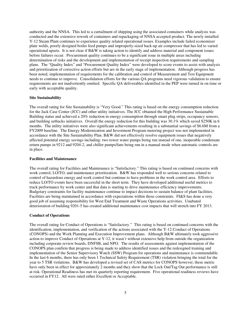authority and the NNSA. This led to a curtailment of shipping using the associated containers while analysis was conducted and the extensive rework of containers and repackaging of NNSA accepted product. The newly installed Y-12 Steam Plant continues to experience quality related operational issues. Examples include failed economizer plate welds, poorly designed boiler feed pumps and improperly-sized back-up air compressor that has led to varied operational upsets. It is not clear if B&W is taking action to identify and address material and component issues before failures occur. Procurement quality continues to be a significant issue in multiple areas including determination of risks and the development and implementation of receipt inspection requirements and sampling plans. The "Quality Index" and "Procurement Quality Index" were developed to score events to assist with analysis and prioritization of corrective action efforts but are in the early stage of implementation. Although progress has been noted, implementation of requirements for the calibration and control of Measurement and Test Equipment needs to continue to improve. Consolidation efforts for the various QA programs need vigorous validation to ensure requirements are not inadvertently omitted. Specific QA deliverables identified in the PEP were turned in on time or early with acceptable quality.

#### **Site Sustainability**

The overall rating for Site Sustainability is "Very Good." This rating is based on the energy consumption reduction for the Jack Case Center (JCC) and other utility initiatives. The JCC obtained the High Performance Sustainable Building status and achieved a 20% reduction in energy consumption through smart plug strips, occupancy sensors, and building setbacks initiatives. Overall the energy reduction for this building was 30.1% which saved \$250K in 6 months. The utility initiatives were also significant achievements resulting in a substantial savings of \$6.6M from a FY2009 baseline. The Energy Modernization and Investment Program metering project was not implemented in accordance with the Site Sustainability Plan. B&W did not effectively resolve equipment issues that negatively affected potential energy savings including: two tower water pumps being run instead of one, inoperable condensate return pumps in 9212 and 9204-2, and chiller pumps/fans being run in a manual mode when automatic controls are in place.

#### **Facilities and Maintenance**

The overall rating for Facilities and Maintenance is "Satisfactory." This rating is based on continued concerns with work control, LO/TO, and maintenance prioritization. B&W has responded well to serious concerns related to control of hazardous energy and work control but continue to have problems in the work control area. Efforts to reduce LO/TO events have been successful in the short term. They have developed additional useful metrics to track performance by work center and that data is starting to drive maintenance efficiency improvements. Budgetary constraints for facility maintenance continue to impact decisions to sustain balance of plant facilities. Facilities are being maintained in accordance with expectations within those constraints. FI&S has done a very good job of assuming responsibility for West End Treatment and Waste Operations activities. Unabated deterioration of building 9201-5 has created additional maintenance cost impacts that will stretch into FY 2013.

#### **Conduct of Operations**

The overall rating for Conduct of Operations is "Satisfactory." This rating is based on continued concerns with the identification, implementation, and verification of the actions associated with the Y-12 Conduct of Operations (CONOPS) and the Work Planning and Execution Improvement plans. Although B&W ultimately took aggressive action to improve Conduct of Operations at Y-12, it wasn't without extensive help from outside the organization including corporate review boards, DNFSB, and NPO. The results of assessments against implementation of the CONOPS plan confirm that progress is being made to address identified issues and the redesigned training and implementation of the Senior Supervisory Watch (SSW) Program for operations and maintenance is commendable. In the last 6 months, there has only been 1 Technical Safety Requirement (TSR) violation bringing the total for the year to 5 TSR violations. B&W has developed a revised set of CAS metrics for CONOPS however, these metric have only been in effect for approximately 2 months and they show that the Lock Out/Tag Out performance is still at risk. Operational Readiness has met its quarterly reporting requirement. Five operational readiness reviews have occurred in FY12. All were rated either Excellent or Acceptable.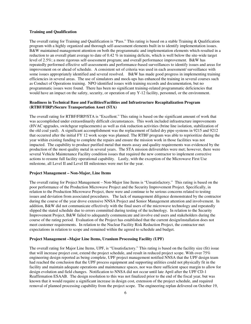## **Training and Qualification**

The overall rating for Training and Qualification is "Pass." This rating is based on a stable Training & Qualification program with a highly organized and thorough self-assessment elements built in to identify implementation issues. B&W maintained management attention on both the programmatic and implementation elements which resulted in a reduction to an overall plant average to date of 0.42 % in training deficits, which is well below the site-wide target level of 2.5%; a more rigorous self-assessment program; and overall performance improvement. B&W has repeatedly performed effective self-assessments and performance-based surveillances to identify issues and areas for improvement on or ahead of schedule. A consistent set of criteria was used in each assessment/ surveillance with some issues appropriately identified and several resolved. B&W has made good progress in implementing training efficiencies in several areas. The use of simulators and mock-ups has enhanced the training in several courses such as Conduct of Operations training. NPO identified issues with training records and documentation, but no programmatic issues were found. There has been no significant training-related programmatic deficiencies that would have an impact on the safety, security, or operation of any Y-12 facility, personnel, or the environment.

## **Readiness in Technical Base and Facilities/Facilities and Infrastructure Recapitalization Program (RTBF/FIRP)/Secure Transportation Asset (STA)**

The overall rating for RTBF/FIRP/STA is "Excellent." This rating is based on the significant amount of work that was accomplished under extraordinarily difficult circumstances. This work included infrastructure improvements (HVAC upgrades, switchgear replacements) as well as risk reduction activities (brine line isolation, stabilization of the old coal yard). A significant accomplishment was the replacement of failed dry pipe systems in 9215 and 9212 that occurred after the initial FY 12 work scope was planned. The RTBF program was able to reprioritize during the year within existing funding to complete the repairs and ensure the mission work in those facilities was not impacted. The capability to produce purified metal that meets assay and quality requirements was evidenced by the production of the most quality metal in several years. The STA mission deliverables were met; however, there were several Vehicle Maintenance Facility condition issues that required the new contractor to implement corrective actions to resume full facility operational capability. Lastly, with the exception of the Microwave First Use milestone, all Level II and Level III milestones were met for the year.

## **Project Management – Non-Major, Line Items**

The overall rating for Project Management – Non-Major line Items is "Unsatisfactory." This rating is based on the poor performance of the Production Microwave Project and the Security Improvement Project. Specifically, in relation to the Production Microwave Project, there were and continue to be serious concerns related to testing issues and deviation from associated procedures. The lack of management diligence demonstrated by the contractor during the course of the year drove extensive NNSA Project and Senior Management attention and involvement. In addition, B&W did not communicate effectively with the final users of the microwave technology and repeatedly slipped the stated schedule due to errors committed during testing of the technology. In relation to the Security Improvement Project, B&W failed to adequately communicate and involve end users and stakeholders during the course of the rating period. Evaluation of the Project has established that the current design/installation does not meet customer requirements. In relation to the Nuclear Facility Risk Reduction Project, the contractor met expectations in relation to scope and remained within the agreed to schedule and budget.

## **Project Management –Major Line Items, Uranium Processing Facility (UPF)**

The overall rating for Major Line Items, UPF, is "Unsatisfactory." This rating is based on the facility size (fit) issue that will increase project cost, extend the project schedule, and result in reduced project scope. With over 75% engineering design reported as being complete, UPF project management notified NNSA that the UPF design team had reached the conclusion that the UPF process equipment and supporting utilities could not physically fit in the facility and maintain adequate operations and maintenance spaces, nor was there sufficient space margin to allow for design evolution and field changes. Notification to NNSA did not occur until late April after the UPF CD-1 Reaffirmation ESAAB. The design resolution to this was not finalized prior to the end of the fiscal year, but was known that it would require a significant increase in design cost, extension of the project schedule, and required removal of planned processing capability from the project scope. The engineering replan delivered on October 19,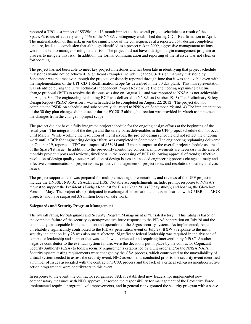reported a TPC cost impact of \$539M and 13 month impact to the overall project schedule as a result of the Space/Fit issue, effectively using 45% of the NNSA contingency established during CD-1 Reaffirmation in April. The materialization of this risk, given the significance of the consequences at a reported 75% design completion juncture, leads to a conclusion that although identified as a project risk in 2009, aggressive management actions were not taken to manage or mitigate the risk. The project did not have a design margin management program or process to mitigate this risk. In addition, the formal communication and reporting of the fit issue was not clear or forthcoming.

The project has not been able to meet key project milestones and has been late in identifying that project schedule milestones would not be achieved. Significant examples include: 1) the 90% design maturity milestone by September was not met even though the project consistently reported through June that it was achievable even with the implementation of the UPF CD-1 Reaffirmation scope (as described in the 30 day plan). This misrepresentation was identified during the UPF Technical Independent Project Review; 2) The engineering replanning baseline change proposal (BCP) to resolve the fit issue was due on August 31, and was reported to NNSA as not achievable on August 30. The engineering replanning BCP was delivered to NNSA on October 19; 3) The Preliminary Safety Design Report (PSDR) Revision 1 was scheduled to be completed on August 22, 2012. The project did not complete the PSDR on schedule and subsequently delivered to NNSA on September 25; and 4) The implementation of the 30 day plan changes did not occur during FY 2012 although direction was provided in March to implement the changes from the change in project scope.

The project did not have a fully integrated project schedule for the ongoing design efforts at the beginning of the fiscal year. The integration of the design and the safety basis deliverables in the UPF project schedule did not occur until March. While working the resolution of the fit issues, the project design schedule did not reflect the ongoing work until a BCP for engineering design efforts was completed in September. The engineering replanning delivered on October 19, reported a TPC cost impact of \$539M and 13 month impact to the overall project schedule as a result of the Space/Fit issue. In addition to the previously mentioned concerns, improvements are necessary in the area of monthly project reports and reviews; timeliness in the processing of BCPs following approval of trends; effective resolution of design quality issues; resolution of design issues and needed engineering process changes; timely and effective communication of project issues; proactive management of project risks, and resolution of safety analysis issues.

The project supported and was prepared for multiple meetings, presentations, and reviews of the UPF project to include the DNFSB, NA-10, USACE, and HSS. Notable accomplishments include: prompt response to NNSA's request to support the President's Budget Request for Fiscal Year 2013 (30 day study); and hosting the Glovebox Forum in May. The project also participated in exchange of information and lessons learned with CMRR and MOX projects, and have surpassed 3.8 million hours of safe work.

#### **Safeguards and Security Program Management**

The overall rating for Safeguards and Security Program Management is "Unsatisfactory". This rating is based on the complete failure of the security system/protective force response to the PIDAS penetration on July 28 and the completely unacceptable implementation and operation of the Argus security system. As implemented, Argus unreliability significantly contributed to the PIDAS penetration event of July 28. B&W's response to the initial security incident on July 28 was also unsatisfactory. Significant federal leadership was required in the absence of contractor leadership and support that was "…slow, disoriented, and requiring intervention by NPO." Another negative contributor to the eventual system failure, were the decisions put in place by the contractor Cognizant Security Authority (CSA) to loosen security requirements established by DOE order and/or the NNSA NAPs. Security system testing requirements were changed by the CSA process, which contributed to the unavailability of critical system needed to assess the security event. NPO assessments conducted prior to the security event identified a number of issues associated with the contractor's CSA process and the lack of a critical self-assessment/corrective action program that were contributors to this event.

In response to the event, the contractor reorganized S&ES, established new leadership, implemented new compensatory measures with NPO approval, absorbed the responsibility for management of the Protective Force, implemented required program level improvements, and in general reinvigorated the security program with a sense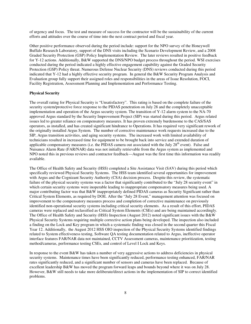of urgency and focus. The test and measure of success for the contractor will be the sustainability of the current efforts and attitudes over the course of time into the next contract period and fiscal year.

Other positive performance observed during the period include: support for the NPO survey of the Honeywell Buffalo Research Laboratory, support of the DNS visits including the Scenario Development Review, and a 2008 Graded Security Protection (GSP) Policy Implementation Review. The later reviews resulted in positive feedback for Y-12 actions. Additionally, B&W supported the DNS/NPO budget process throughout the period. WSI exercises conducted during the period indicated a highly effective engagement capability against the Graded Security Protection (GSP) Policy threat. Numerous Defense Nuclear Security (DNS) reviews conducted during this period indicated that Y-12 had a highly effective security program. In general the B&W Security Program Analysis and Evaluation group fully support their assigned roles and responsibilities in the areas of Issue Resolution, FOCI, Facility Registration, Assessment Planning and Implementation and Performance Testing.

## **Physical Security**

The overall rating for Physical Security is "Unsatisfactory". This rating is based on the complete failure of the security system/protective force response to the PIDAS penetration on July 28 and the completely unacceptable implementation and operation of the Argus security system. The transition of Y-12 alarm system to the NA-70 approved Argus standard by the Security Improvement Project (SIP) was started during this period. Argus related issues led to greater reliance on compensatory measures. It has proven extremely burdensome to the CAS/SAS operators, as installed, and has created significant hindrance to Operations. It has required very significant rework of the originally installed Argus System. The number of corrective maintenance work requests increased due to the SIP, Argus transition activities, and aging security systems. The increased work with limited availability of technicians resulted in increased time for equipment to be brought back into service and extended duration of applicable compensatory measures (i.e. the PIDAS camera out associated with the July  $28<sup>th</sup>$  event). False and Nuisance Alarm Rate (FAR/NAR) data was not initially retrievable from the Argus system as implemented and NPO noted this in previous reviews and contractor feedback—August was the first time this information was readily available.

The Office of Health Safety and Security (HSS) completed a Site Assistance Visit (SAV) during this period which specifically reviewed Physical Security Systems. The HSS team identified several opportunities for improvement with Argus and the Cognizant Security Authority (CSA) decision process. Despite this review, the systematic failure of the physical security systems was a factor that significantly contributed to the "July 28 security event" in which certain security systems were inoperable leading to inappropriate compensatory measures being used. A major contributing factor was that B&W inappropriately defined PIDAS cameras as Security Significant rather than Critical System Elements, as required by DOE. After the "July 28 Event," management attention was focused on improvement to the compensatory measures process and completion of corrective maintenance on previously identified non-operational security systems including critical security elements. As a result of this effort, PIDAS cameras were replaced and reclassified as Critical System Elements (CSEs) and are being maintained accordingly. The Office of Health Safety and Security (HSS) Inspection (August 2012) noted significant issues with the B&W Physical Security Systems requiring multiple corrective action plans being developed. The inspection also included a finding on the Lock and Key program in which a systematic finding was closed in the second quarter this Fiscal Year 12. Additionally, the August 2012 HSS OIO inspection of the Physical Security Systems identified findings related to System effectiveness testing, Software QA testing documentation related to Argus, ineffective operator interface features FAR/NAR data not maintained, CCTV Assessment cameras, maintenance prioritization, testing method/cameras, performance testing CSEs, and control of Level I Lock and Keys.

In response to the event B&W has taken a number of very aggressive actions to address deficiencies in physical security systems. Maintenance times have been significantly reduced, performance testing enhanced, FAR/NAR rates significantly reduced, and a significant number of sensors and cameras have been replaced. Because of excellent leadership B&W has moved the program forward leaps and bounds beyond where it was on July 28. However, B&W still needs to take more deliberate/direct actions in the implementation of SIP to correct identified problems.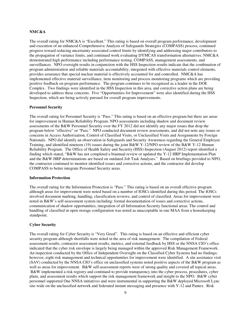## **NMC&A**

The overall rating for NMC&A is "Excellent." This rating is based on overall program performance, development and execution of an enhanced Comprehensive Analysis of Safeguards Strategies (COMPASS) process, continued progress toward reducing uncertainty associated control limits by identifying and addressing major contributors to the propagation of variance limits, and continued work evaluating DYMCAS transformation alternatives. NMC&A demonstrated high performance including performance testing, COMPASS, management assessments, and surveillances. NPO oversight results in conjunction with the HSS Inspection results indicate that the combination of program administration and reliable materials accountability, integrated with effective materials control elements, provides assurance that special nuclear material is effectively accounted for and controlled. NMC&A has implemented effective material surveillance, item monitoring and process monitoring programs which are providing positive feedback on program performance. The program continues to be recognized as a leader in the DOE Complex. Two findings were identified in the HSS Inspection in this area, and corrective action plans are being developed to address these concerns. Five "Opportunities for Improvement" were also identified during the HSS Inspection, which are being actively pursued for overall program improvements.

#### **Personnel Security**

The overall rating for Personnel Security is "Pass." This rating is based on an effective program but there are areas for improvement in Human Reliability Program. NPO assessments including shadow and document review assessments of the B&W Personnel Security over the FY 2012 did not identify any major issues that drop the program below "effective" or "Pass." NPO conducted document review assessments, and did not note any issues or concerns in Access Authorization, Control of Classified Visits, or Unclassified Visits and Assignments by Foreign Nationals. NPO did identify an observation in Safeguards and Security Awareness regarding the General Employee Training, and identified nineteen (19) issues during the joint B&W Y-12/NPO review of the B&W Y-12 Human Reliability Program. The Office of Health Safety and Security (HSS) Inspection (August 2012) report identified a finding which stated, "B&W has not completed a biannual review or updated the Y-12 HRP Implementation Plan and the B&W HRP determinations are based on outdated Job Task Analyses." Based on briefings provided to NPO, the contractor continued to monitor identified issues and corrective actions, and the contractor did develop COMPASS to better integrate Personnel Security areas.

## **Information Protection**

The overall rating for the Information Protection is "Pass." This rating is based on an overall effective program although areas for improvement were noted based on a number of IOSCs identified during this period. The IOSCs involved document marking, handling, classification reviews, and control of classified. Areas for improvement were noted in B&W's self-assessment system including: formal documentation of issues and corrective actions, communication of shadow opportunities, integration of all Information Security functional areas. The control and handling of classified in open storage configuration was noted as unacceptable in one MAA from a housekeeping standpoint.

## **Cyber Security**

The overall rating for Cyber Security is "Very Good". This rating is based on an effective and efficient cyber security program although shortfalls were noted in the area of risk management. The compilation of Federal assessment results, contractor assessment results, metrics, and external feedback by HSS or the NNSA CIO's office indicated that the cyber risk envelope is largely being managed within the approved Risk Management Framework. An inspection conducted by the Office of Independent Oversight on the Classified Cyber Systems had no findings; however, eight risk management and technical opportunities for improvement were identified. A site assistance visit (SAV) conducted by the NNSA CIO's office on unclassified systems noted positive aspects of the B&W program as well as areas for improvement. B&W self-assessment reports were of strong quality and covered all topical areas. B&W implemented a risk registry and continued to provide transparency into the cyber process, procedures, cyber plans, and assessment results which support the risk management framework and insight to the NPO. B&W cyber personnel supported One NNSA initiatives and were instrumental in supporting the B&W deployed Microsoft Lync site-wide on the unclassified network and federated instant messaging and presence with Y-12 and Pantex. Risk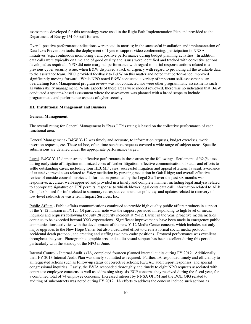assessments developed for this technology were used in the Right Path Implementation Plan and provided to the Department of Energy IM-60 staff for use.

Overall positive performance indications were noted in metrics; in the successful installation and implementation of Data Loss Prevention tools; the deployment of Lync to support video conferencing; participation in NNSA initiatives (e.g., continuous monitoring); and positive performance during budget planning activities. In addition, data calls were typically on time and of good quality and issues were identified and tracked with corrective actions developed as required. NPO did note marginal performance with regard to initial response actions related to a previous cyber security issue, when B&W displayed a lack of urgency with regard to providing all the available data to the assistance team. NPO provided feedback to B&W on this matter and noted that performance improved significantly moving forward. While NPO noted B&W conducted a variety of important self-assessments, an overarching Risk Management program review was not conducted nor were other programmatic assessments such as vulnerability management. While aspects of these areas were indeed reviewed, there was no indication that B&W conducted a systems-based assessment where the assessment was planned with a broad scope to include programmatic and performance aspects of cyber security.

#### **III. Institutional Management and Business**

#### **General Management**

The overall rating for General Management is "Pass." This rating is based on the collective performance of each functional area.

General Management **-** B&W Y-12 was timely and accurate, to information requests, budget exercises, work insertion requests, etc. These ad-hoc, often time-sensitive requests covered a wide range of subject areas. Specific submissions are detailed under the appropriate performance target.

Legal- B&W Y-12 demonstrated effective performance in these areas by the following: Settlement of *Wolf*e case during early state of litigation minimized costs of further litigation; effective communication of status and efforts to settle outstanding cases, including four HEUMF cases; successful litigation and appeal of *Scheib* lawsuit; avoidance of extensive travel costs related to *Foley* mediation by pursuing mediation in Oak Ridge; and overall effective review of outside counsel invoices. Information presented by the Legal Staff over the past six months was responsive, accurate, well-supported and provided in a timely and complete manner, including legal analysis related to appropriate signature on UPF permits; response to whistleblower legal costs data call; information related to ALB Complex's need for info related to summary retrospective insurance policies; and updates related to recovery of low-level radioactive waste from Impact Services, Inc.

Public Affairs - Public affairs communications continued to provide high quality public affairs products in support of the Y-12 mission in FY12. Of particular note was the support provided in responding to high level of media inquiries and requests following the July 28 security incident at Y-12. Earlier in the year, proactive media metrics continue to be exceeded beyond YSO expectations. Significant improvements have been made in emergency public communications activities with the development of the new Y-12 Media Center concept, which includes not only major upgrades to the New Hope Center but also a dedicated effort to create a formal social media protocol, accidental death protocol, and creating and staffing two new cadre positions. Protocol performance was excellent throughout the year. Photographic, graphic arts, and audio-visual support has been excellent during this period, particularly with the standup of the NPO in June.

Internal Control - Internal Audit's (IA) completed fourteen planned internal audits during FY 2012. Additionally, their FY 2013 Internal Audit Plan was timely submitted as required. Further, IA responded timely and efficiently to all requested actions such as follow-up status of corrective actions; IG/GAO audit report responses; and special congressional inquiries. Lastly, the E&IA responded thoroughly and timely to eight NPO requests associated with contractor employee concerns as well as addressing sixty-six ECP concerns they received during the fiscal year, for a combined total of 74 employee concerns. Increased interest by NNSA OFFM and the DOE OIG related to auditing of subcontracts was noted during FY 2012. IA efforts to address the concern include such actions as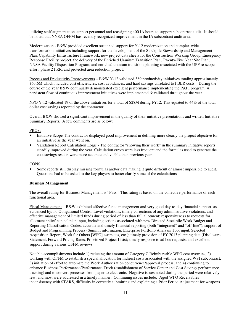utilizing staff augmentation support personnel and reassigning 400 IA hours to support subcontract audit. It should be noted that NNSA OFFM has recently recognized improvement in the IA subcontract audit area.

Modernization - B&W provided excellent sustained support for Y-12 modernization and complex wide transformation initiatives including support for the development of the Stockpile Stewardship and Management Plan, Capability Infrastructure Framework, new project data sheets for the Construction Working Group, Emergency Response Facility project, the delivery of the Enriched Uranium Transition Plan, Twenty-Five Year Site Plan, NNSA Facility Disposition Program; and enriched uranium transition planning associated with the UPF re-scope effort, phase 2 FRR, and protected area reduction project.

Process and Productivity Improvements – B&W Y-12 validated 389 productivity initiatives totaling approximately \$63.6M which included cost efficiencies, cost avoidances, and hard savings unrelated to FBLR costs. During the course of the year B&W continually demonstrated excellent performance implementing the P&PI program. A persistent flow of continuous improvement initiatives were implemented & validated throughout the year.

NPO Y-12 validated 19 of the above initiatives for a total of \$28M during FY12. This equated to 44% of the total dollar cost savings reported by the contractor.

Overall B&W showed a significant improvement in the quality of their initiative presentations and written Initiative Summary Reports. A few comments are as below:

#### PROS:

- Initiative Scope-The contractor displayed good improvement in defining more clearly the project objective for an initiative as the year went on.
- Validation Report Calculation Logic The contractor "showing their work" in the summary initiative reports steadily improved during the year. Calculation errors were less frequent and the formulas used to generate the cost savings results were more accurate and visible than previous years.

#### CONS:

• Some reports still display missing formulas and/or data making it quite difficult or almost impossible to audit. Questions had to be asked to the key players to better clarify some of the calculations

## **Business Management**

The overall rating for Business Management is "Pass." This rating is based on the collective performance of each functional area.

Fiscal Management – B&W exhibited effective funds management and very good day-to-day financial support as evidenced by: no Obligational Control Level violations, timely corrections of any administrative violations, and effective management of limited funds during period of less than full allotment; responsiveness to requests for allotment split/financial plan input, including actions associated with new Directed Stockpile Work Budget and Reporting Classification Codes; accurate and timely financial reporting (both "integrated" and "off-line"); support of Budget and Programming Process (Summit information, Enterprise Portfolio Analysis Tool input, Selected Acquisition Report, Work for Others [WFO] estimates, etc.); timely provision of FY 2013 planning data (Disclosure Statement, Forward Pricing Rates, Prioritized Project Lists); timely response to ad hoc requests; and excellent support during various OFFM reviews.

Notable accomplishments include 1) reducing the amount of Category C Reimbursable WFO cost overruns, 2) working with OFFM to establish a special allocation for indirect costs associated with the assigned WSI subcontract, 3) initiation of effort to automate the Work Authorization concurrence/approval process, and 4) continuing to enhance Business Performance/Performance Track (establishment of Service Center and Cost Savings performance tracking) and to convert processes from paper to electronic. Negative issues noted during the period were relatively few, and most were addressed in a timely manner. Continuing issues include: Aged WFO Receivables inconsistency with STARS, difficulty in correctly submitting and explaining a Prior Period Adjustment for weapons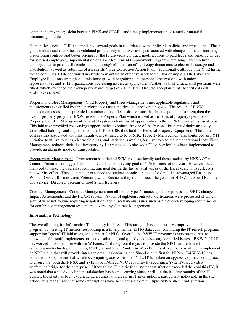components inventory, delta between FIMS and STARs, and timely implementation of a nuclear material accounting module.

Human Resources – CHR accomplished several goals in accordance with applicable policies and procedures. These goals include such activities as validated productivity initiative savings associated with changes to the current drug prescription contract and better pricing for the future years contract; modifications to paid leave and benefit changes for salaried employees; implementation of a Post Retirement Employment Program – retaining sixteen retired employee participants; efficiencies gained through elimination of hard-copy documents to electronic storage and distribution; as well as submittal of a Benefits Value Corrective Action Plan. Additionally, although the Y-12 hiring freeze continues, CHR continued in efforts to maintain an effective work force. For example, CHR Labor and Employee Relations strengthened relationships with bargaining unit personnel by working with union representatives and Y-12 organizations addressing issues, as applicable. Further, 99% of critical skill positions were filled, which exceeded their own performance target of 90% filled. Also, the acceptance rate for critical skill positions is at 92%.

Property and Fleet Management - Y-12 Property and Fleet Management met applicable regulations and requirements as verified by three performance target metrics and three stretch goals.. The results of B&W management assessments provided a number of beneficial observations that has the potential to strengthen the overall property program. B&W revised the Property Plan which is used as the basis of property operations. Property and Fleet Management presented system enhancement opportunities to the JORRB during this fiscal year. This initiative provided cost savings opportunities to reduce the size of the Personal Property Administratively Controlled holdings and implemented the \$5K to \$10K threshold for Personal Property Equipment. The annual cost savings associated with this initiative is estimated to be \$151K. Property Management also continued an FY11 initiative to utilize touches, electronic pings, and statistical sampling for inventory to reduce operational cost. Fleet Management reduced their fleet inventory by 100 vehicles. A site-wide "Taxi Service" has been implemented to provide an alternate mode of transportation.

Procurement Management - Procurement satisfied all SCM goals set locally and those tracked by NNSA SCM Center. Procurement lagged behind its overall subcontracting goal of 45% for most of the year. However, they managed to make the overall subcontracting goal during the last several weeks of the fiscal year. This reflects a noteworthy effort. They also met or exceeded the socioeconomic sub goals for Small Disadvantaged Business, Woman-Owned Business, and Veteran-Owned Business; they did not meet the goals for HUBZone Small Business and Service- Disabled-Veteran-Owned Small Business.

Contract Management - Contract Management met all monthly performance goals for processing S/RID changes, Impact Assessments, and the RCAM system. A total of eighteen contract modifications were processed of which several were not routine requiring negotiation, and miscellaneous issues such as the ever-developing requirements for conference management system are covered by Contract Management.

#### **Information Technology**

The overall rating for Information Technology is "Pass." This rating is based on positive improvements in the program by meeting IT metrics, responding in a timely manner to HQ data calls, continuing the IT refresh program, supporting "green" IT initiatives, and support for NPO. Overall, the B&W IT program is very strong, retains knowledgeable staff, implements pro-active solutions, and quickly addresses any identified issues. B&W Y-12 IT has worked in cooperation with B&W Pantex IT throughout the year to provide the NPO with federated collaboration technology, including MS Lync and SharePoint. B&W Y-12 IT is also actively working to implement an NPO cloud that will provide inter-site email, calendaring and SharePoint, a first for NNSA. B&W Y-12 has continued its deployment of wireless computing across the site. Y-12 IT has taken an aggressive proactive approach to ensure that both the NNSA and Y-12 have IP-based VTC capability by securing a Y-12 IP-based video conference bridge for the enterprise. Although the IT metric for customer satisfaction exceeded the goal this FY, it was noted that a steady decline in satisfaction has been occurring since April. In the last few months of the 4<sup>th</sup> quarter, the plant has been experiencing an unusual increase in IT interruptions, particularly noticeable in the site office. It is recognized that some interruptions have been causes from multiple NNSA sites' configuration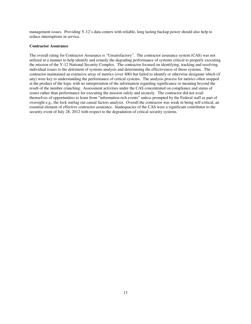management issues. Providing Y-12's data centers with reliable, long lasting backup power should also help to reduce interruptions in service.

#### **Contractor Assurance**

The overall rating for Contractor Assurance is "Unsatisfactory". The contractor assurance system (CAS) was not utilized in a manner to help identify and remedy the degrading performance of systems critical to properly executing the mission of the Y-12 National Security Complex. The contractor focused on identifying, tracking and resolving individual issues to the detriment of systems analysis and determining the effectiveness of those systems. The contractor maintained an extensive array of metrics (over 400) but failed to identify or otherwise designate which (if any) were key to understanding the performance of critical systems. The analysis process for metrics often stopped at the product of the logic with no interpretation of the information regarding significance or meaning beyond the result of the number crunching. Assessment activities under the CAS concentrated on compliance and status of issues rather than performance for executing the mission safely and securely. The contractor did not avail themselves of opportunities to learn from "information rich events" unless prompted by the Federal staff as part of oversight e.g., the lock out/tag out causal factors analysis. Overall the contractor was weak in being self-critical, an essential element of effective contractor assurance. Inadequacies of the CAS were a significant contributor to the security event of July 28, 2012 with respect to the degradation of critical security systems.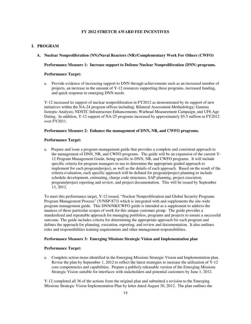## **FY 2012 STRETCH AWARD FEE INCENTIVES**

## **I. PROGRAM**

#### **A. Nuclear Nonproliferation (NN)/Naval Reactors (NR)/Complementary Work For Others (CWFO)**

## **Performance Measure 1: Increase support to Defense Nuclear Nonproliferation (DNN) programs.**

## **Performance Target:**

a. Provide evidence of increasing support to DNN through achievements such as an increased number of projects, an increase in the amount of Y-12 resources supporting these programs, increased funding, and quick response to emerging DNN needs.

Y-12 increased its support of nuclear nonproliferation in FY2012 as demonstrated by its support of new initiatives within the NA-24 program offices including: Bilateral Assessment Methodology; Gamma Isotopic Analysis; NDSTC Infrastructure Enhancements; Warhead Measurement Campaign; and UF6 Age Dating. In addition, Y-12 support of NA-25 programs increased by approximately \$5.5 million in FY2012 over FY2011.

## **Performance Measure 2: Enhance the management of DNN, NR, and CWFO programs.**

#### **Performance Target:**

a.Prepare and issue a program management guide that provides a complete and consistent approach to the management of DNN, NR, and CWFO programs. The guide will be an expansion of the current Y-12 Program Management Guide, being specific to DNN, NR, and CWFO programs. It will include specific criteria for program managers to use to determine the appropriate graded approach to implement for each program/project, as well as the details of each approach. Based on the result of the criteria evaluation, each specific approach will be defined for program/project planning to include schedule development, estimating, charge code structures, SAP planning, project execution, program/project reporting and review, and project documentation. This will be issued by September 13, 2012.

To meet this performance target, Y-12 issued, "Nuclear Nonproliferation and Global Security Programs Program Management Process" (Y/NSP-873) which is integrated with and supplements the site-wide program management guide. This DNN/NR/CWFO guide is intended as a supplement to address the nuances of these particular scopes of work for this unique customer group. The guide provides a standardized and repeatable approach for managing portfolios, programs and projects to ensure a successful outcome. The guide includes criteria for determining the appropriate approach for each program and defines the approach for planning, execution, reporting, and review and documentation. It also outlines roles and responsibilities training requirements and other management responsibilities.

## **Performance Measure 3: Emerging Missions Strategic Vision and Implementation plan**

#### **Performance Target:**

a. Complete action items identified in the Emerging Missions Strategic Vision and Implementation plan. Revise the plan by September 1, 2012 to reflect the latest strategies to increase the utilization of Y-12 core competencies and capabilities. Prepare a publicly releasable version of the Emerging Missions Strategic Vision suitable for interfaces with stakeholders and potential customers by June 1, 2012.

Y-12 completed all 36 of the actions from the original plan and submitted a revision to the Emerging Missions Strategic Vision Implementation Plan by letter dated August 30, 2012. The plan outlines the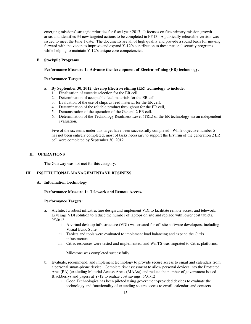emerging missions' strategic priorities for fiscal year 2013. It focuses on five primary mission growth areas and identifies 34 new targeted actions to be completed in FY13. A publically releasable version was issued to meet the June 1 date. The documents are all of high quality and provide a sound basis for moving forward with the vision to improve and expand Y-12's contribution to these national security programs while helping to maintain Y-12's unique core competencies.

#### **B. Stockpile Programs**

## **Performance Measure 1: Advance the development of Electro-refining (ER) technology.**

## **Performance Target:**

#### **a. By September 30, 2012, develop Electro-refining (ER) technology to include:**

- 1. Finalization of eutectic selection for the ER cell.
- 2. Determination of acceptable feed materials for the ER cell,
- 3. Evaluation of the use of chips as feed material for the ER cell,
- 4. Determination of the reliable product throughput for the ER cell,
- 5. Demonstration of the operation of the General 2 ER cell.
- 6. Determination of the Technology Readiness Level (TRL) of the ER technology via an independent evaluation.

Five of the six items under this target have been successfully completed. While objective number 5 has not been entirely completed, most of tasks necessary to support the first run of the generation 2 ER cell were completed by September 30, 2012.

## **II. OPERATIONS**

The Gateway was not met for this category.

## **III. INSTITUTIONAL MANAGEMENTAND BUSINESS**

## **A. Information Technology**

## **Performance Measure 1: Telework and Remote Access.**

#### **Performance Targets:**

- a. Architect a robust infrastructure design and implement VDI to facilitate remote access and telework. Leverage VDI solution to reduce the number of laptops on site and replace with lower cost tablets. 9/30/12
	- i. A virtual desktop infrastructure (VDI) was created for off-site software developers, including Visual Basic Suite.
	- ii. Tablets and tools were evaluated to implement load balancing and expand the Citrix infrastructure.
	- iii. Citrix resources were tested and implemented, and WinTS was migrated to Citrix platforms.

Milestone was completed successfully.

- b. Evaluate, recommend, and implement technology to provide secure access to email and calendars from a personal smart-phone device. Complete risk assessment to allow personal devices into the Protected Area (PA) (excluding Material Access Areas (MAAs)) and reduce the number of government issued Blackberrys and pagers at Y-12 to realize cost savings. 5/31/12
	- i. Good Technologies has been piloted using government-provided devices to evaluate the technology and functionality of extending secure access to email, calendar, and contacts.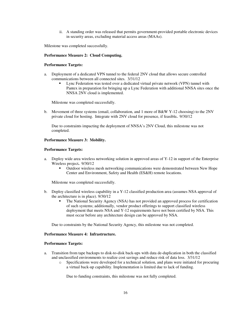ii. A standing order was released that permits government-provided portable electronic devices in security areas, excluding material access areas (MAAs).

Milestone was completed successfully.

### **Performance Measure 2: Cloud Computing.**

## **Performance Targets:**

- a. Deployment of a dedicated VPN tunnel to the federal 2NV cloud that allows secure controlled communications between all connected sites. 3/31/12
	- Lync Federation was tested over a dedicated virtual private network (VPN) tunnel with Pantex in preparation for bringing up a Lync Federation with additional NNSA sites once the NNSA 2NV cloud is implemented.

Milestone was completed successfully.

b. Movement of three systems (email, collaboration, and 1 more of B&W Y-12 choosing) to the 2NV private cloud for hosting. Integrate with 2NV cloud for presence, if feasible**.** 9/30/12

Due to constraints impacting the deployment of NNSA's 2NV Cloud, this milestone was not completed.

#### **Performance Measure 3: Mobility.**

#### **Performance Targets:**

- a. Deploy wide area wireless networking solution in approved areas of Y-12 in support of the Enterprise Wireless project**.** 9/30/12
	- Outdoor wireless mesh networking communications were demonstrated between New Hope Center and Environment, Safety and Health (ES&H) remote locations.

Milestone was completed successfully.

- b. Deploy classified wireless capability in a Y-12 classified production area (assumes NSA approval of the architecture is in place). 9/30/12
	- The National Security Agency (NSA) has not provided an approved process for certification of such systems; additionally, vendor product offerings to support classified wireless deployment that meets NSA and Y-12 requirements have not been certified by NSA. This must occur before any architecture design can be approved by NSA.

Due to constraints by the National Security Agency, this milestone was not completed.

#### **Performance Measure 4: Infrastructure.**

#### **Performance Targets:**

- a. Transition from tape backups to disk-to-disk back-ups with data de-duplication in both the classified and unclassified environments to realize cost savings and reduce risk of data loss. 3/31/12
	- o Specifications were developed for a technical solution, and plans were initiated for procuring a virtual back-up capability. Implementation is limited due to lack of funding.

Due to funding constraints, this milestone was not fully completed.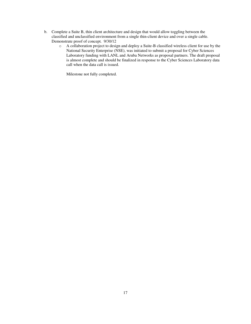- b. Complete a Suite B, thin client architecture and design that would allow toggling between the classified and unclassified environment from a single thin-client device and over a single cable. Demonstrate proof of concept. 9/30/12
	- o A collaboration project to design and deploy a Suite-B classified wireless client for use by the National Security Enterprise (NSE), was initiated to submit a proposal for Cyber Sciences Laboratory funding with LANL and Aruba Networks as proposal partners. The draft proposal is almost complete and should be finalized in response to the Cyber Sciences Laboratory data call when the data call is issued.

Milestone not fully completed.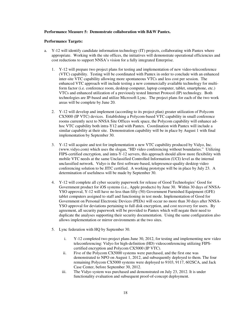## **Performance Measure 5: Demonstrate collaboration with B&W Pantex.**

#### **Performance Targets:**

- a. Y-12 will identify candidate information technology (IT) projects, collaborating with Pantex where appropriate. Working with the site offices, the initiatives will demonstrate operational efficiencies and cost reductions to support NNSA's vision for a fully integrated Enterprise.
	- 1. Y-12 will prepare two project plans for testing and implementation of new video-teleconference (VTC) capability. Testing will be coordinated with Pantex in order to conclude with an enhanced inter-site VTC capability allowing more spontaneous VTCs and less cost per session. The enhanced VTC approach will include testing a new commercially available technology for multiform factor (i.e. conference room, desktop computer, laptop computer, tablet, smartphone, etc.) VTCs and enhanced utilization of a previously tested Internet Protocol (IP) technology. Both technologies are IP-based and utilize Microsoft Lync. The project plans for each of the two work areas will be complete by June 20.
	- 2. Y-12 will develop and implement (according to its project plan) greater utilization of Polycom CX5000 (IP VTC) devices. Establishing a Polycom-based VTC capability in small conference rooms currently next to NNSA Site Offices work space, the Polycom capability will enhance adhoc VTC capability both intra-Y12 and with Pantex. Coordination with Pantex will include a similar capability at their site. Demonstration capability will be in place by August 1 with final implementation by September 30.
	- 3. Y-12 will acquire and test for implementation a new VTC capability produced by Vidyo, Inc. (www.vidyo.com) which uses the slogan, "HD video conferencing without boundaries." Utilizing FIPS-certified encryption, and intra-Y-12 servers, this approach should allow more flexibility with mobile VTC needs at the same Unclassified Controlled Information (UCI) level as the internal unclassified network. Vidyo is the first software-based, telepresence-quality desktop video conferencing solution to be JITC certified. A working prototype will be in place by July 23. A determination of usefulness will be made by September 30.
	- 4. Y-12 will complete all cyber security paperwork for release of Good Technologies' Good for Government product for iOS systems (i.e., Apple products) by June 30. Within 30 days of NNSA-YSO approval, Y-12 will have no less than fifty (50) Government Furnished Equipment (GFE) tablet computers assigned to staff and functioning in test mode. Implementation of Good for Government on Personal Electronic Devices (PEDs) will occur no more than 30 days after NNSA-YSO approval for deviations pertaining to full disk encryption, and cost recovery for users. By agreement, all security paperwork will be provided to Pantex which will negate their need to duplicate the analyses supporting their security documentation. Using the same configuration also allows implementation or mirror environments at the two sites.
	- 5. Lync federation with HQ by September 30.
		- i. Y-12 completed two project plans June 30, 2012, for testing and implementing new video teleconferencing: Vidyo for high-definition (HD) videoconferencing utilizing FIPScertified encryption and Polycom CX5000 (IP VTC).
		- ii. Five of the Polycom CX5000 systems were purchased, and the first one was demonstrated to NPO on August 1, 2012, and subsequently deployed to them. The four remaining Polycom CX5000 systems were deployed to 9103, 9117, 602SCA, and Jack Case Center, before September 30, 2012.
		- iii. The Vidyo system was purchased and demonstrated on July 23, 2012. It is under functionality evaluation and subsequent proof-of-concept deployment.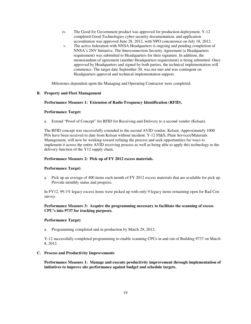- iv. The Good for Government product was approved for production deployment. Y-12 completed Good Technologies cyber-security documentation, and application accreditation was approved June 28, 2012, with NPO concurrence on July 18, 2012.
- v. The active federation with NNSA Headquarters is ongoing and pending completion of NNSA's 2NV Initiative. The Interconnection Security Agreement (a Headquarters requirement) was submitted to Headquarters for their signature. In addition, the memorandum of agreement (another Headquarters requirement) is being submitted. Once approved by Headquarters and signed by both parties, the technical implementation will commence. The target date September 30, was not met and was contingent on Headquarters approval and technical implementation support.

Milestones dependent upon the Managing and Operating Contractor were completed.

#### **B. Property and Fleet Management**

#### **Performance Measure 1: Extension of Radio Frequency Identification (RFID).**

#### **Performance Target:**

a. Extend "Proof of Concept" for RFID for Receiving and Delivery to a second vendor (Kelsan).

The RFID concept was successfully extended to the second AVID vendor, Kelsan. Approximately 1000 POs have been received to date from Kelsan without incident. Y-12 FI&S, Plant Services/Materials Management, will now be working toward refining the process and seek opportunities for ways to implement it across the entire AVID receiving process as well as being able to apply this technology to the delivery function of the Y12 supply chain.

#### **Performance Measure 2: Pick up of FY 2012 excess materials.**

#### **Performance Target:**

a. Pick up an average of 400 items each month of FY 2012 excess materials that are available for pick up. Provide monthly status and progress.

In FY12, 99.1% legacy excess items were picked up with only 9 legacy items remaining open for Rad Con survey.

## **Performance Measure 3: Acquire the programming necessary to facilitate the scanning of excess CPU's into 9737 for tracking purposes.**

#### **Performance Target:**

a. Programming completed and in production by March 29, 2012.

Y-12 successfully completed programming to enable scanning CPUs in and out of Building 9737 on March 8, 2012.

#### **C. Process and Productivity Improvements**

**Performance Measure 1: Manage and execute productivity improvement through implementation of initiatives to improve site performance against budget and schedule targets.**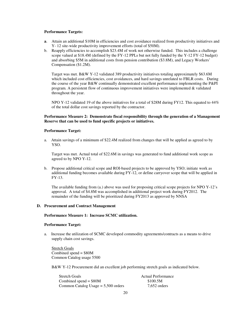#### **Performance Targets:**

- **a**. Attain an additional \$10M in efficiencies and cost avoidance realized from productivity initiatives and Y- 12 site-wide productivity improvement efforts (total of \$50M).
- b. Reapply efficiencies to accomplish \$23.4M of work not otherwise funded. This includes a challenge scope valued at \$18.4M (defined by the FY-12 PPLs but not fully funded by the Y-12 FY-12 budget) and absorbing \$5M in additional costs from pension contribution (\$3.8M), and Legacy Workers' Compensation (\$1.2M).

Target was met. B&W Y-12 validated 389 productivity initiatives totaling approximately \$63.6M which included cost efficiencies, cost avoidances, and hard savings unrelated to FBLR costs. During the course of the year B&W continually demonstrated excellent performance implementing the P&PI program. A persistent flow of continuous improvement initiatives were implemented  $\&$  validated throughout the year.

NPO Y-12 validated 19 of the above initiatives for a total of \$28M during FY12. This equated to 44% of the total dollar cost savings reported by the contractor.

## **Performance Measure 2: Demonstrate fiscal responsibility through the generation of a Management Reserve that can be used to fund specific projects or initiatives.**

#### **Performance Target:**

a. Attain savings of a minimum of \$22.4M realized from changes that will be applied as agreed to by YSO.

Target was met. Actual total of \$22.6M in savings was generated to fund additional work scope as agreed to by NPO Y-12.

b. Propose additional critical scope and ROI-based projects to be approved by YSO; initiate work as additional funding becomes available during FY-12, or define carryover scope that will be applied in FY-13.

The available funding from (a.) above was used for proposing critical scope projects for NPO Y-12's approval. A total of \$4.8M was accomplished in additional project work during FY2012. The remainder of the funding will be prioritized during FY2013 as approved by NNSA

#### **D. Procurement and Contract Management**

#### **Performance Measure 1: Increase SCMC utilization.**

## **Performance Target:**

a. Increase the utilization of SCMC developed commodity agreements/contracts as a means to drive supply chain cost savings.

Stretch Goals Combined spend = \$80M Common Catalog usage 5500

B&W Y-12 Procurement did an excellent job performing stretch goals as indicated below.

| <b>Stretch Goals</b>                  | <b>Actual Performance</b> |
|---------------------------------------|---------------------------|
| Combined spend $= $80M$               | \$100.5M                  |
| Common Catalog Usage $= 5,500$ orders | $7,652$ orders            |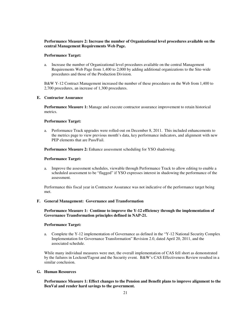### **Performance Measure 2: Increase the number of Organizational level procedures available on the central Management Requirements Web Page.**

#### **Performance Target:**

a. Increase the number of Organizational level procedures available on the central Management Requirements Web Page from 1,400 to 2,000 by adding additional organizations to the Site-wide procedures and those of the Production Division.

B&W Y-12 Contract Management increased the number of these procedures on the Web from 1,400 to 2,700 procedures, an increase of 1,300 procedures.

## **E. Contractor Assurance**

**Performance Measure 1:** Manage and execute contractor assurance improvement to retain historical metrics.

## **Performance Target:**

a. Performance Track upgrades were rolled-out on December 8, 2011. This included enhancements to the metrics page to view previous month's data, key performance indicators, and alignment with new PEP elements that are Pass/Fail.

**Performance Measure 2:** Enhance assessment scheduling for YSO shadowing.

#### **Performance Target:**

a. Improve the assessment schedules, viewable through Performance Track to allow editing to enable a scheduled assessment to be "flagged" if YSO expresses interest in shadowing the performance of the assessment.

Performance this fiscal year in Contractor Assurance was not indicative of the performance target being met.

#### **F. General Management: Governance and Transformation**

**Performance Measure 1: Continue to improve the Y-12 efficiency through the implementation of Governance Transformation principles defined in NAP-21.** 

## **Performance Target:**

a. Complete the Y-12 implementation of Governance as defined in the "Y-12 National Security Complex Implementation for Governance Transformation" Revision 2.0, dated April 20, 2011, and the associated schedule.

While many individual measures were met, the overall implementation of CAS fell short as demonstrated by the failures in Lockout/Tagout and the Security event. B&W's CAS Effectiveness Review resulted in a similar conclusion.

## **G. Human Resources**

**Performance Measure 1: Effect changes to the Pension and Benefit plans to improve alignment to the BenVal and render hard savings to the government.**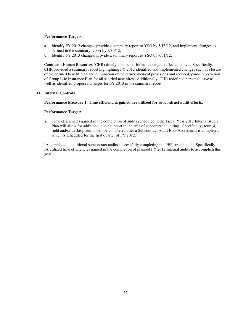#### **Performance Targets:**

- a. Identify FY 2012 changes, provide a summary report to YSO by 5/15/12, and implement changes as defined in the summary report by 5/30/12.
- b. Identify FY 2013 changes, provide a summary report to YSO by 7/31/12.

Contractor Human Resources (CHR) timely met the performance targets reflected above. Specifically, CHR provided a summary report highlighting FY 2012 identified and implemented changes such as closure of the defined benefit plan and elimination of the retiree medical provisions and reduced, paid-up provision of Group Life Insurance Plan for all salaried new hires. Additionally, CHR redefined personal leave as well as identified proposed changes for FY 2013 in the summary report.

## **H. Internal Controls**

#### **Performance Measure 1: Time efficiencies gained are utilized for subcontract audit efforts.**

#### **Performance Target:**

a. Time efficiencies gained in the completion of audits scheduled in the Fiscal Year 2012 Internal Audit Plan will allow for additional audit support in the area of subcontract auditing. Specifically, four (4) field and/or desktop audits will be completed after a Subcontract Audit Risk Assessment is completed, which is scheduled for the first quarter of FY 2012.

IA completed 4 additional subcontract audits successfully completing the PEP stretch goal. Specifically, IA utilized time efficiencies gained in the completion of planned FY 2012 internal audits to accomplish this goal.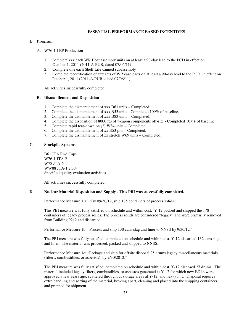## **ESSENTIAL PERFORMANCE BASED INCENTIVES**

### **I. Program**

#### A. W76-1 LEP Production

- 1. Complete xxx each WR Boat assembly units on at least a 90-day lead to the PCD in effect on October 1, 2011 (2011-A-PUB, dated 07/06/11)
- 2. Complete one each Shelf Life canned subassembly
- 3. Complete recertification of xxx sets of WR case parts on at least a 90-day lead to the PCD, in effect on October 1, 2011 (2011-A-PUB, dated 07/06/11)

All activities successfully completed.

#### **B. Dismantlement and Disposition**

- 1. Complete the dismantlement of xxx B61 units Completed.
- 2. Complete the dismantlement of xxx B53 units Completed 109% of baseline.
- 3. Complete the dismantlement of xxx B83 units Completed.
- 4. Complete the disposition of 8000 ft3 of weapon components off-site Completed 107% of baseline.
- 5. Complete rapid tear-down on (2) W84 units Completed.
- 6. Complete the dismantlement of xx B53 pits Completed.
- 7. Complete the dismantlement of xx stretch W69 units Completed.

## **C. Stockpile Systems**

B61 JTA Fwd Caps W76-1 JTA-2 W78 ITA-6 WW88 JTA-1,2,3,4 Specified quality evaluation activities

All activities successfully completed.

## **D. Nuclear Material Disposition and Supply - This PBI was successfully completed.**

Performance Measure 1.a: "By 09/30/12, ship 175 containers of process solids."

This PBI measure was fully satisfied on schedule and within cost. Y-12 packed and shipped the 178 containers of legacy process solids. The process solids are considered "legacy" and were primarily removed from Building 9212 and discarded.

Performance Measure 1b: "Process and ship 130 cans slag and liner to NNSS by 9/30/12."

The PBI measure was fully satisfied, completed on schedule and within cost. Y-12 discarded 132 cans slag and liner. The material was processed, packed and shipped to NNSS.

Performance Measure 1c: "Package and ship for offsite disposal 25 drums legacy miscellaneous materials (filters, combustibles, or asbestos), by 9/30/2012."

The PBI measure was fully satisfied, completed on schedule and within cost. Y-12 disposed 27 drums. The material included legacy filters, combustibles, or asbestos generated at Y-12 for which new EDLs were approved a few years ago, scattered throughout storage areas at Y-12, and heavy in U. Disposal requires extra handling and sorting of the material, broking apart, cleaning and placed into the shipping containers and prepped for shipment.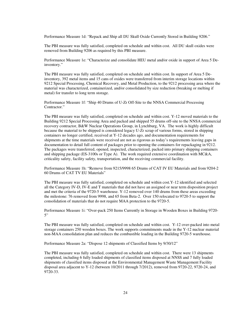Performance Measure 1d: "Repack and Ship all DU Skull Oxide Currently Stored in Building 9206."

The PBI measure was fully satisfied, completed on schedule and within cost. All DU skull oxides were removed from Building 9206 as required by this PBI measure.

Performance Measure 1e: "Characterize and consolidate HEU metal and/or oxide in support of Area 5 Deinventory."

The PBI measure was fully satisfied, completed on schedule and within cost. In support of Area 5 Deinventory, 392 metal items and 15 cans of oxides were transferred from interim storage locations within 9212 Special Processing, Chemical Recovery, and Metal Production, to the 9212 processing area where the material was characterized, containerized, and/or consolidated by size reduction (breaking or melting if metal) for transfer to long term storage.

Performance Measure 1f: "Ship 40 Drums of U-Zr Off-Site to the NNSA Commercial Processing Contractor<sup>"</sup>

The PBI measure was fully satisfied, completed on schedule and within cost. Y-12 moved materials to the Building 9212 Special Processing Area and packed and shipped 55 drums off-site to the NNSA commercial recovery contractor, B&W Nuclear Operations Group, in Lynchburg, VA. The work is highly difficult because the material to be shipped is considered legacy U-Zr scrap of various forms, stored in shipping containers no longer certified, received at Y-12 decades ago, and documentation requirements for shipments at the time materials were received are not as rigorous as today's requirements leaving gaps in documentation to detail full content of packages prior to opening the containers for repackaging in 9212. The packages were transferred, opened, inspected, characterized, packed into primary shipping containers and shipping package (ES-3100s or Type A). The work required extensive coordination with MC&A, criticality safety, facility safety, transportation, and the receiving commercial facility.

Performance Measure 1h: "Remove from 9215/9998 65 Drums of CAT IV EU Materials and from 9204-2 60 Drums of CAT TV EU Materials"

The PBI measure was fully satisfied, completed on schedule and within cost.Y-12 identified and selected all the Category IV-D, IV-E and T materials that did not have an assigned or near term disposition project and met the criteria of the 9720-5 warehouse. Y-12 removed over 140 drums from these areas exceeding the milestone: 76 removed from 9998, and 65 from Beta-2. Over 150 relocated to 9720-5 to support the consolidation of materials that do not require MAA protection to the 9720-5.

Performance Measure 1i: "Over-pack 250 Items Currently in Storage in Wooden Boxes in Building 9720-  $5"$ 

The PBI measure was fully satisfied, completed on schedule and within cost. Y-12 over-packed into metal storage containers 250 wooden boxes. The work supports commitments made in the Y-12 nuclear material non-MAA consolidation plan and reduces the combustible loading in the Building 9720-5 warehouse.

Performance Measure 2a: "Dispose 12 shipments of Classified Items by 9/30/12"

The PBI measure was fully satisfied, completed on schedule and within cost. There were 13 shipments completed, including 6 fully loaded shipments of classified items disposed at NNSS and 7 fully loaded shipments of classified items disposed at the Environmental Management Waste Management Facility disposal area adjacent to Y-12 (between 10/2011 through 7/2012), removed from 9720-22, 9720-24, and 9720-33.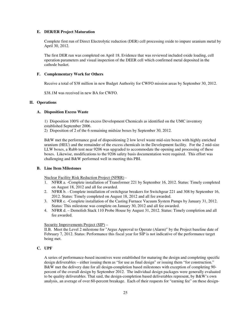#### **E. DER/ER Project Maturation**

Complete first run of Direct Electrolytic reduction (DER) cell processing oxide to impure uranium metal by April 30, 2012.

The first DER run was completed on April 18. Evidence that was reviewed included oxide loading, cell operation parameters and visual inspection of the DEER cell which confirmed metal deposited in the cathode basket.

## **F. Complementary Work for Others**

Receive a total of \$38 million in new Budget Authority for CWFO mission areas by September 30, 2012.

\$38.1M was received in new BA for CWFO.

## **II. Operations**

#### **A. Disposition Excess Waste**

 1) Disposition 100% of the excess Development Chemicals as identified on the UMC inventory established September 2006.

2) Disposition of 2 of the 6 remaining midsize boxes by September 30, 2012.

 B&W met the performance goal of dispositioning 2 low level waste mid-size boxes with highly enriched uranium (HEU) and the remainder of the excess chemicals in the Development facility. For the 2 mid-size LLW boxes, a Rubb tent near 9206 was upgraded to accommodate the opening and processing of these boxes. Likewise, modifications to the 9206 safety basis documentation were required. This effort was challenging and B&W performed well in meeting this PBI.

## **B. Line Item Milestones**

Nuclear Facility Risk Reduction Project (NFRR) -

- 1. NFRR a. -Complete installation of Transformer 221 by September 16, 2012. Status: Timely completed on August 18, 2012 and all fee awarded.
- 2. NFRR b. Complete installation of switchgear breakers for Switchgear 221 and 308 by September 16, 2012. Status: Timely completed on August 18, 2012 and all fee awarded.
- 3. NFRR c. -Complete installation of the Casting Furnace Vacuum System Pumps by January 31, 2012. Status: This milestone was complete on January 30, 2012 and all fee awarded.
- 4. NFRR d. Demolish Stack 110 Probe House by August 31, 2012. Status: Timely completion and all fee awarded.

## Security Improvements Project (SIP) –

II.B. Meet the Level 2 milestone for "Argus Approval to Operate (Alarm)" by the Project baseline date of February 7, 2012. Status: Performance this fiscal year for SIP is not indicative of the performance target being met.

## **C. UPF**

 A series of performance-based incentives were established for maturing the design and completing specific design deliverables – either issuing them as "for use as final design" or issuing them "for construction." B&W met the delivery date for all design-completion based milestones with exception of completing 90 percent of the overall design by September 2012. The individual design packages were generally evaluated to be quality deliverables. That said, the design-completion based deliverables represent, by B&W's own analysis, an average of over 60-percent breakage. Each of their requests for "earning fee" on these design-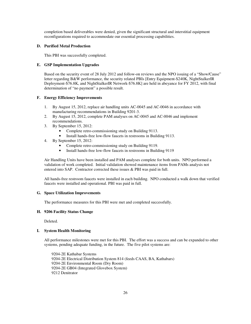completion based deliverables were denied, given the significant structural and interstitial equipment reconfigurations required to accommodate our essential processing capabilities.

## **D. Purified Metal Production**

This PBI was successfully completed.

## **E. GSP Implementation Upgrades**

Based on the security event of 28 July 2012 and follow-on reviews and the NPO issuing of a "Show/Cause" letter regarding B&W performance, the security related PBIs [Entry Equipment-\$240K, NightStalkerIR Deployment-\$76.8K, and NightStalkerIR Network-\$76.8K] are held in abeyance for FY 2012, with final determination of "no payment" a possible result.

## **F. Energy Efficiency Improvements**

- 1. By August 15, 2012, replace air handling units AC-0045 and AC-0046 in accordance with manufacturing recommendations in Building 9201-3.
- 2. By August 15, 2012, complete PAM analyses on AC-0045 and AC-0046 and implement recommendations.
- 3. By September 15, 2012:
	- Complete retro-commissioning study on Building 9113.
	- Install hands-free low-flow faucets in restrooms in Building 9113.
- 4. By September 15, 2012:
	- Complete retro-commissioning study on Building 9119.
	- Install hands-free low-flow faucets in restrooms in Building 9119

Air Handling Units have been installed and PAM analyses complete for both units. NPO performed a validation of work completed. Initial validation showed maintenance items from PAMs analysis not entered into SAP. Contractor corrected these issues  $&$  PBI was paid in full.

All hands-free restroom faucets were installed in each building. NPO conducted a walk down that verified faucets were installed and operational. PBI was paid in full.

## **G. Space Utilization Improvements**

The performance measures for this PBI were met and completed successfully.

## **H. 9206 Facility Status Change**

Deleted.

## **I. System Health Monitoring**

All performance milestones were met for this PBI. The effort was a success and can be expanded to other systems, pending adequate funding, in the future. The five pilot systems are:

9204-2E Kathabar Systems 9204-2E Electrical Distribution System 814 (feeds CAAS, BA, Kathabars) 9204-2E Environmental Room (Dry Room) 9204-2E GB04 (Integrated Glovebox System) 9212 Denitrator